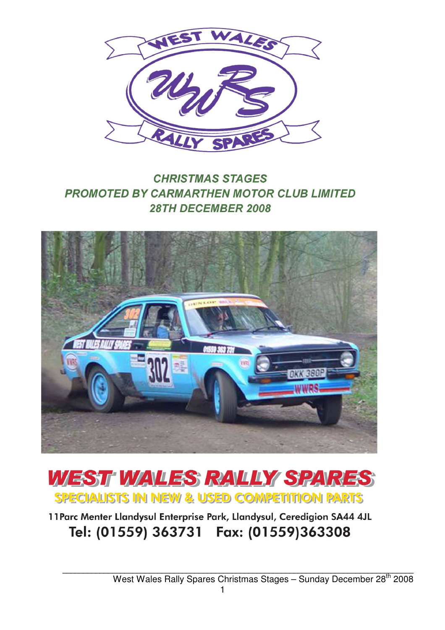

## **CHRISTMAS STAGES PROMOTED BY CARMARTHEN MOTOR CLUB LIMITED** 28TH DECEMBER 2008





11 Parc Menter Llandysul Enterprise Park, Llandysul, Ceredigion SA44 4JL Tel: (01559) 363731 Fax: (01559)363308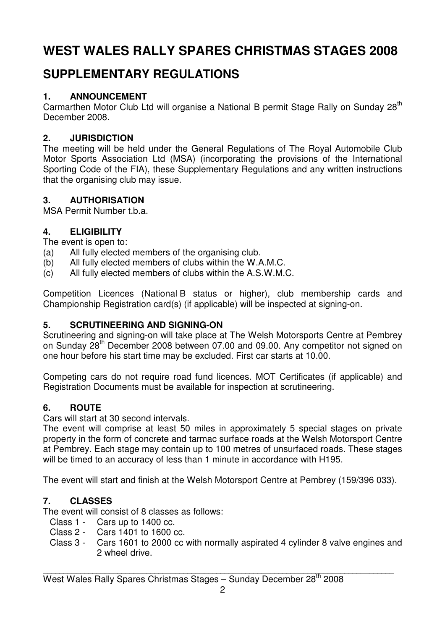# **WEST WALES RALLY SPARES CHRISTMAS STAGES 2008**

## **SUPPLEMENTARY REGULATIONS**

### **1. ANNOUNCEMENT**

Carmarthen Motor Club Ltd will organise a National B permit Stage Rally on Sunday 28<sup>th</sup> December 2008.

### **2. JURISDICTION**

The meeting will be held under the General Regulations of The Royal Automobile Club Motor Sports Association Ltd (MSA) (incorporating the provisions of the International Sporting Code of the FIA), these Supplementary Regulations and any written instructions that the organising club may issue.

### **3. AUTHORISATION**

MSA Permit Number t.b.a.

### **4. ELIGIBILITY**

The event is open to:

- (a) All fully elected members of the organising club.
- (b) All fully elected members of clubs within the W.A.M.C.
- (c) All fully elected members of clubs within the A.S.W.M.C.

Competition Licences (National B status or higher), club membership cards and Championship Registration card(s) (if applicable) will be inspected at signing-on.

### **5. SCRUTINEERING AND SIGNING-ON**

Scrutineering and signing-on will take place at The Welsh Motorsports Centre at Pembrey on Sunday 28<sup>th</sup> December 2008 between 07.00 and 09.00. Any competitor not signed on one hour before his start time may be excluded. First car starts at 10.00.

Competing cars do not require road fund licences. MOT Certificates (if applicable) and Registration Documents must be available for inspection at scrutineering.

### **6. ROUTE**

Cars will start at 30 second intervals.

The event will comprise at least 50 miles in approximately 5 special stages on private property in the form of concrete and tarmac surface roads at the Welsh Motorsport Centre at Pembrey. Each stage may contain up to 100 metres of unsurfaced roads. These stages will be timed to an accuracy of less than 1 minute in accordance with H195.

The event will start and finish at the Welsh Motorsport Centre at Pembrey (159/396 033).

### **7. CLASSES**

The event will consist of 8 classes as follows:

- Class 1 Cars up to 1400 cc.
- Class 2 Cars 1401 to 1600 cc.
- Class 3 Cars 1601 to 2000 cc with normally aspirated 4 cylinder 8 valve engines and 2 wheel drive.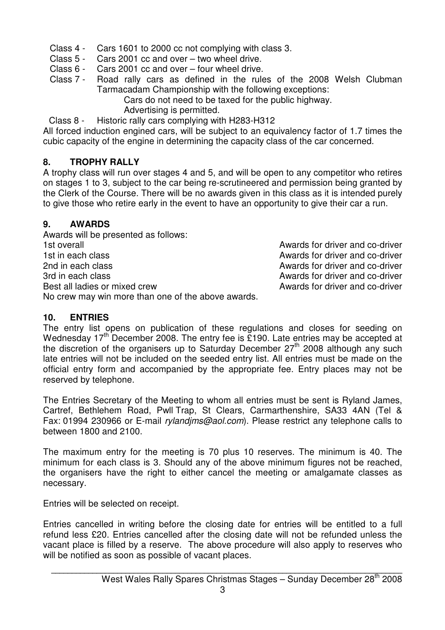- Class 4 Cars 1601 to 2000 cc not complying with class 3.
- Class 5 Cars 2001 cc and over two wheel drive.
- Class 6 Cars 2001 cc and over four wheel drive.<br>Class 7 Road rally cars as defined in the rule
- Road rally cars as defined in the rules of the 2008 Welsh Clubman Tarmacadam Championship with the following exceptions:

Cars do not need to be taxed for the public highway.

Advertising is permitted.

Class 8 - Historic rally cars complying with H283-H312

All forced induction engined cars, will be subject to an equivalency factor of 1.7 times the cubic capacity of the engine in determining the capacity class of the car concerned.

### **8. TROPHY RALLY**

A trophy class will run over stages 4 and 5, and will be open to any competitor who retires on stages 1 to 3, subject to the car being re-scrutineered and permission being granted by the Clerk of the Course. There will be no awards given in this class as it is intended purely to give those who retire early in the event to have an opportunity to give their car a run.

### **9. AWARDS**

Awards will be presented as follows: 1st overall and co-driver and co-driver and co-driver and co-driver 1st in each class and control of the Awards for driver and co-driver 2nd in each class Awards for driver and co-driver 3rd in each class Awards for driver and co-driver Best all ladies or mixed crew exercise the second area Awards for driver and co-driver No crew may win more than one of the above awards.

### **10. ENTRIES**

The entry list opens on publication of these regulations and closes for seeding on Wednesday  $17<sup>th</sup>$  December 2008. The entry fee is £190. Late entries may be accepted at the discretion of the organisers up to Saturday December  $27<sup>th</sup>$  2008 although any such late entries will not be included on the seeded entry list. All entries must be made on the official entry form and accompanied by the appropriate fee. Entry places may not be reserved by telephone.

The Entries Secretary of the Meeting to whom all entries must be sent is Ryland James, Cartref, Bethlehem Road, Pwll Trap, St Clears, Carmarthenshire, SA33 4AN (Tel & Fax: 01994 230966 or E-mail rylandims@aol.com). Please restrict any telephone calls to between 1800 and 2100.

The maximum entry for the meeting is 70 plus 10 reserves. The minimum is 40. The minimum for each class is 3. Should any of the above minimum figures not be reached, the organisers have the right to either cancel the meeting or amalgamate classes as necessary.

Entries will be selected on receipt.

Entries cancelled in writing before the closing date for entries will be entitled to a full refund less £20. Entries cancelled after the closing date will not be refunded unless the vacant place is filled by a reserve. The above procedure will also apply to reserves who will be notified as soon as possible of vacant places.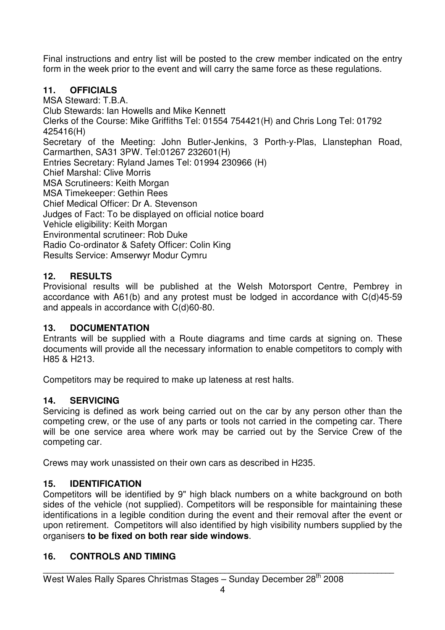Final instructions and entry list will be posted to the crew member indicated on the entry form in the week prior to the event and will carry the same force as these regulations.

### **11. OFFICIALS**

MSA Steward: T.B.A. Club Stewards: Ian Howells and Mike Kennett Clerks of the Course: Mike Griffiths Tel: 01554 754421(H) and Chris Long Tel: 01792 425416(H) Secretary of the Meeting: John Butler-Jenkins, 3 Porth-y-Plas, Llanstephan Road, Carmarthen, SA31 3PW. Tel:01267 232601(H) Entries Secretary: Ryland James Tel: 01994 230966 (H) Chief Marshal: Clive Morris MSA Scrutineers: Keith Morgan MSA Timekeeper: Gethin Rees Chief Medical Officer: Dr A. Stevenson Judges of Fact: To be displayed on official notice board Vehicle eligibility: Keith Morgan Environmental scrutineer: Rob Duke Radio Co-ordinator & Safety Officer: Colin King Results Service: Amserwyr Modur Cymru

### **12. RESULTS**

Provisional results will be published at the Welsh Motorsport Centre, Pembrey in accordance with A61(b) and any protest must be lodged in accordance with C(d)45-59 and appeals in accordance with C(d)60-80.

### **13. DOCUMENTATION**

Entrants will be supplied with a Route diagrams and time cards at signing on. These documents will provide all the necessary information to enable competitors to comply with H85 & H213.

Competitors may be required to make up lateness at rest halts.

### **14. SERVICING**

Servicing is defined as work being carried out on the car by any person other than the competing crew, or the use of any parts or tools not carried in the competing car. There will be one service area where work may be carried out by the Service Crew of the competing car.

Crews may work unassisted on their own cars as described in H235.

### **15. IDENTIFICATION**

Competitors will be identified by 9" high black numbers on a white background on both sides of the vehicle (not supplied). Competitors will be responsible for maintaining these identifications in a legible condition during the event and their removal after the event or upon retirement. Competitors will also identified by high visibility numbers supplied by the organisers **to be fixed on both rear side windows**.

### **16. CONTROLS AND TIMING**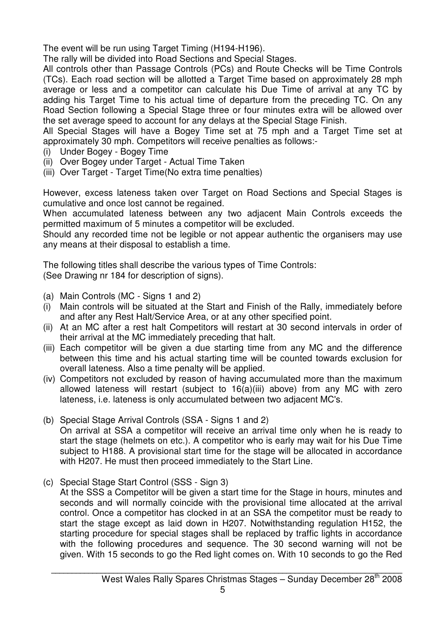The event will be run using Target Timing (H194-H196).

The rally will be divided into Road Sections and Special Stages.

All controls other than Passage Controls (PCs) and Route Checks will be Time Controls (TCs). Each road section will be allotted a Target Time based on approximately 28 mph average or less and a competitor can calculate his Due Time of arrival at any TC by adding his Target Time to his actual time of departure from the preceding TC. On any Road Section following a Special Stage three or four minutes extra will be allowed over the set average speed to account for any delays at the Special Stage Finish.

All Special Stages will have a Bogey Time set at 75 mph and a Target Time set at approximately 30 mph. Competitors will receive penalties as follows:-

- (i) Under Bogey Bogey Time
- (ii) Over Bogey under Target Actual Time Taken
- (iii) Over Target Target Time(No extra time penalties)

However, excess lateness taken over Target on Road Sections and Special Stages is cumulative and once lost cannot be regained.

When accumulated lateness between any two adjacent Main Controls exceeds the permitted maximum of 5 minutes a competitor will be excluded.

Should any recorded time not be legible or not appear authentic the organisers may use any means at their disposal to establish a time.

The following titles shall describe the various types of Time Controls: (See Drawing nr 184 for description of signs).

- (a) Main Controls (MC Signs 1 and 2)
- (i) Main controls will be situated at the Start and Finish of the Rally, immediately before and after any Rest Halt/Service Area, or at any other specified point.
- (ii) At an MC after a rest halt Competitors will restart at 30 second intervals in order of their arrival at the MC immediately preceding that halt.
- (iii) Each competitor will be given a due starting time from any MC and the difference between this time and his actual starting time will be counted towards exclusion for overall lateness. Also a time penalty will be applied.
- (iv) Competitors not excluded by reason of having accumulated more than the maximum allowed lateness will restart (subject to 16(a)(iii) above) from any MC with zero lateness, i.e. lateness is only accumulated between two adjacent MC's.
- (b) Special Stage Arrival Controls (SSA Signs 1 and 2)

 On arrival at SSA a competitor will receive an arrival time only when he is ready to start the stage (helmets on etc.). A competitor who is early may wait for his Due Time subject to H188. A provisional start time for the stage will be allocated in accordance with H207. He must then proceed immediately to the Start Line.

(c) Special Stage Start Control (SSS - Sign 3)

At the SSS a Competitor will be given a start time for the Stage in hours, minutes and seconds and will normally coincide with the provisional time allocated at the arrival control. Once a competitor has clocked in at an SSA the competitor must be ready to start the stage except as laid down in H207. Notwithstanding regulation H152, the starting procedure for special stages shall be replaced by traffic lights in accordance with the following procedures and sequence. The 30 second warning will not be given. With 15 seconds to go the Red light comes on. With 10 seconds to go the Red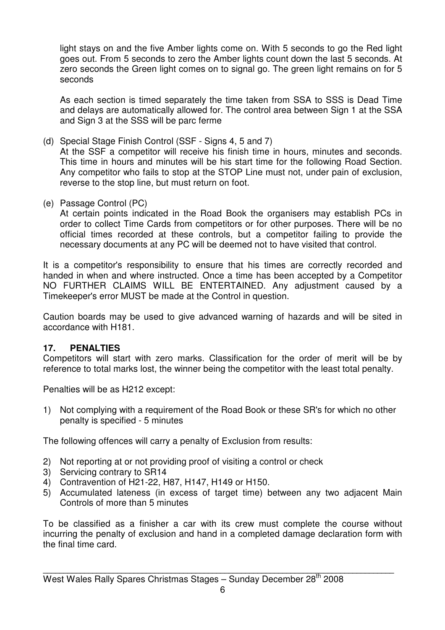light stays on and the five Amber lights come on. With 5 seconds to go the Red light goes out. From 5 seconds to zero the Amber lights count down the last 5 seconds. At zero seconds the Green light comes on to signal go. The green light remains on for 5 seconds

 As each section is timed separately the time taken from SSA to SSS is Dead Time and delays are automatically allowed for. The control area between Sign 1 at the SSA and Sign 3 at the SSS will be parc ferme

- (d) Special Stage Finish Control (SSF Signs 4, 5 and 7) At the SSF a competitor will receive his finish time in hours, minutes and seconds. This time in hours and minutes will be his start time for the following Road Section. Any competitor who fails to stop at the STOP Line must not, under pain of exclusion, reverse to the stop line, but must return on foot.
- (e) Passage Control (PC)

 At certain points indicated in the Road Book the organisers may establish PCs in order to collect Time Cards from competitors or for other purposes. There will be no official times recorded at these controls, but a competitor failing to provide the necessary documents at any PC will be deemed not to have visited that control.

It is a competitor's responsibility to ensure that his times are correctly recorded and handed in when and where instructed. Once a time has been accepted by a Competitor NO FURTHER CLAIMS WILL BE ENTERTAINED. Any adjustment caused by a Timekeeper's error MUST be made at the Control in question.

Caution boards may be used to give advanced warning of hazards and will be sited in accordance with H181.

#### **17. PENALTIES**

Competitors will start with zero marks. Classification for the order of merit will be by reference to total marks lost, the winner being the competitor with the least total penalty.

Penalties will be as H212 except:

1) Not complying with a requirement of the Road Book or these SR's for which no other penalty is specified - 5 minutes

The following offences will carry a penalty of Exclusion from results:

- 2) Not reporting at or not providing proof of visiting a control or check
- 3) Servicing contrary to SR14
- 4) Contravention of H21-22, H87, H147, H149 or H150.
- 5) Accumulated lateness (in excess of target time) between any two adjacent Main Controls of more than 5 minutes

To be classified as a finisher a car with its crew must complete the course without incurring the penalty of exclusion and hand in a completed damage declaration form with the final time card.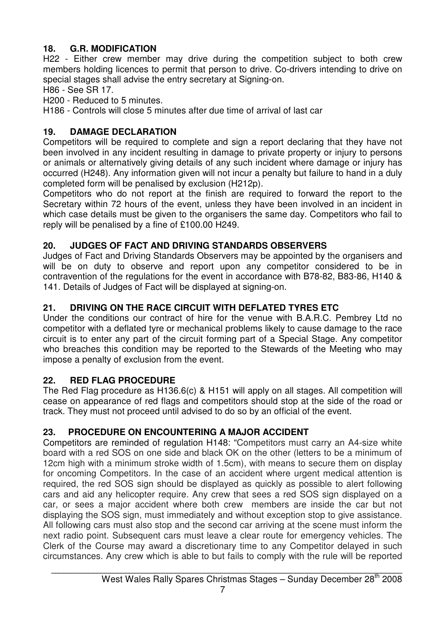### **18. G.R. MODIFICATION**

H22 - Either crew member may drive during the competition subject to both crew members holding licences to permit that person to drive. Co-drivers intending to drive on special stages shall advise the entry secretary at Signing-on.

H86 - See SR 17.

H200 - Reduced to 5 minutes.

H186 - Controls will close 5 minutes after due time of arrival of last car

### **19. DAMAGE DECLARATION**

Competitors will be required to complete and sign a report declaring that they have not been involved in any incident resulting in damage to private property or injury to persons or animals or alternatively giving details of any such incident where damage or injury has occurred (H248). Any information given will not incur a penalty but failure to hand in a duly completed form will be penalised by exclusion (H212p).

Competitors who do not report at the finish are required to forward the report to the Secretary within 72 hours of the event, unless they have been involved in an incident in which case details must be given to the organisers the same day. Competitors who fail to reply will be penalised by a fine of £100.00 H249.

## **20. JUDGES OF FACT AND DRIVING STANDARDS OBSERVERS**

Judges of Fact and Driving Standards Observers may be appointed by the organisers and will be on duty to observe and report upon any competitor considered to be in contravention of the regulations for the event in accordance with B78-82, B83-86, H140 & 141. Details of Judges of Fact will be displayed at signing-on.

## **21. DRIVING ON THE RACE CIRCUIT WITH DEFLATED TYRES ETC**

Under the conditions our contract of hire for the venue with B.A.R.C. Pembrey Ltd no competitor with a deflated tyre or mechanical problems likely to cause damage to the race circuit is to enter any part of the circuit forming part of a Special Stage. Any competitor who breaches this condition may be reported to the Stewards of the Meeting who may impose a penalty of exclusion from the event.

### **22. RED FLAG PROCEDURE**

The Red Flag procedure as H136.6(c) & H151 will apply on all stages. All competition will cease on appearance of red flags and competitors should stop at the side of the road or track. They must not proceed until advised to do so by an official of the event.

### **23. PROCEDURE ON ENCOUNTERING A MAJOR ACCIDENT**

Competitors are reminded of regulation H148: "Competitors must carry an A4-size white board with a red SOS on one side and black OK on the other (letters to be a minimum of 12cm high with a minimum stroke width of 1.5cm), with means to secure them on display for oncoming Competitors. In the case of an accident where urgent medical attention is required, the red SOS sign should be displayed as quickly as possible to alert following cars and aid any helicopter require. Any crew that sees a red SOS sign displayed on a car, or sees a major accident where both crew members are inside the car but not displaying the SOS sign, must immediately and without exception stop to give assistance. All following cars must also stop and the second car arriving at the scene must inform the next radio point. Subsequent cars must leave a clear route for emergency vehicles. The Clerk of the Course may award a discretionary time to any Competitor delayed in such circumstances. Any crew which is able to but fails to comply with the rule will be reported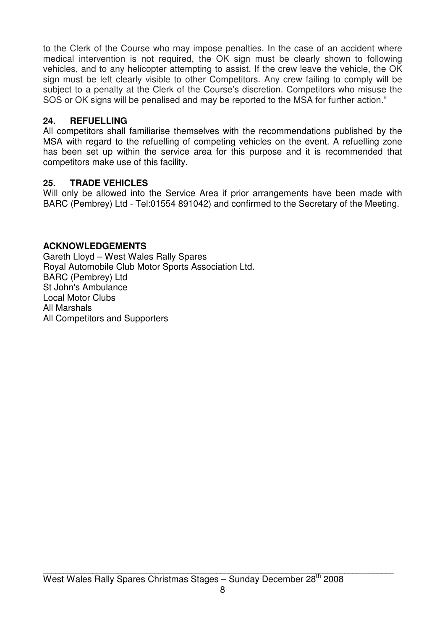to the Clerk of the Course who may impose penalties. In the case of an accident where medical intervention is not required, the OK sign must be clearly shown to following vehicles, and to any helicopter attempting to assist. If the crew leave the vehicle, the OK sign must be left clearly visible to other Competitors. Any crew failing to comply will be subject to a penalty at the Clerk of the Course's discretion. Competitors who misuse the SOS or OK signs will be penalised and may be reported to the MSA for further action."

### **24. REFUELLING**

All competitors shall familiarise themselves with the recommendations published by the MSA with regard to the refuelling of competing vehicles on the event. A refuelling zone has been set up within the service area for this purpose and it is recommended that competitors make use of this facility.

### **25. TRADE VEHICLES**

Will only be allowed into the Service Area if prior arrangements have been made with BARC (Pembrey) Ltd - Tel:01554 891042) and confirmed to the Secretary of the Meeting.

### **ACKNOWLEDGEMENTS**

Gareth Lloyd – West Wales Rally Spares Royal Automobile Club Motor Sports Association Ltd. BARC (Pembrey) Ltd St John's Ambulance Local Motor Clubs All Marshals All Competitors and Supporters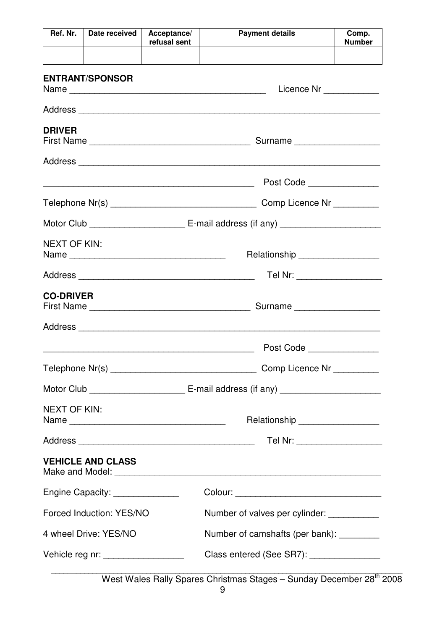| Ref. Nr.                           | Date received                                                                             | Acceptance/<br>refusal sent | <b>Payment details</b>                      | Comp.<br><b>Number</b> |  |
|------------------------------------|-------------------------------------------------------------------------------------------|-----------------------------|---------------------------------------------|------------------------|--|
|                                    |                                                                                           |                             |                                             |                        |  |
|                                    | <b>ENTRANT/SPONSOR</b>                                                                    |                             | Licence Nr __________                       |                        |  |
|                                    |                                                                                           |                             |                                             |                        |  |
| <b>DRIVER</b>                      |                                                                                           |                             |                                             |                        |  |
|                                    |                                                                                           |                             |                                             |                        |  |
|                                    |                                                                                           |                             | Post Code                                   |                        |  |
|                                    |                                                                                           |                             | Comp Licence Nr _________                   |                        |  |
|                                    |                                                                                           |                             |                                             |                        |  |
| <b>NEXT OF KIN:</b>                | Name $\frac{1}{\sqrt{1-\frac{1}{2}}}\left\vert \frac{1}{\sqrt{1-\frac{1}{2}}}\right\vert$ |                             | Relationship ___________________            |                        |  |
|                                    |                                                                                           |                             | Tel Nr: ____________________                |                        |  |
| <b>CO-DRIVER</b>                   |                                                                                           |                             |                                             |                        |  |
|                                    |                                                                                           |                             |                                             |                        |  |
|                                    |                                                                                           |                             | Post Code _______________                   |                        |  |
|                                    |                                                                                           |                             | Comp Licence Nr __________                  |                        |  |
|                                    |                                                                                           |                             |                                             |                        |  |
| <b>NEXT OF KIN:</b>                |                                                                                           |                             | Relationship __________________             |                        |  |
|                                    |                                                                                           |                             | Tel Nr: ___________________                 |                        |  |
|                                    | <b>VEHICLE AND CLASS</b>                                                                  |                             |                                             |                        |  |
| Engine Capacity: _______________   |                                                                                           |                             |                                             |                        |  |
|                                    | Forced Induction: YES/NO                                                                  |                             | Number of valves per cylinder: ____________ |                        |  |
| 4 wheel Drive: YES/NO              |                                                                                           |                             | Number of camshafts (per bank): _________   |                        |  |
| Vehicle reg nr: __________________ |                                                                                           |                             | Class entered (See SR7): ________________   |                        |  |

West Wales Rally Spares Christmas Stages - Sunday December 28<sup>th</sup> 2008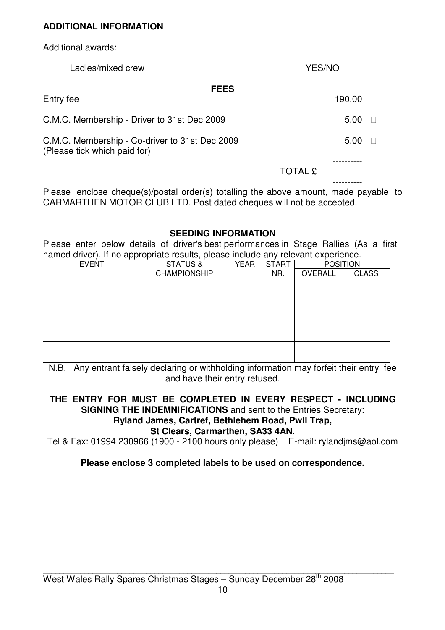#### **ADDITIONAL INFORMATION**

Additional awards:

| Ladies/mixed crew                                                              | YES/NO         |  |  |
|--------------------------------------------------------------------------------|----------------|--|--|
| <b>FEES</b><br>Entry fee                                                       | 190.00         |  |  |
| C.M.C. Membership - Driver to 31st Dec 2009                                    | 5.00           |  |  |
| C.M.C. Membership - Co-driver to 31st Dec 2009<br>(Please tick which paid for) | 5.00           |  |  |
|                                                                                | <b>TOTAL £</b> |  |  |

Please enclose cheque(s)/postal order(s) totalling the above amount, made payable to CARMARTHEN MOTOR CLUB LTD. Post dated cheques will not be accepted.

#### **SEEDING INFORMATION**

Please enter below details of driver's best performances in Stage Rallies (As a first named driver). If no appropriate results, please include any relevant experience.

| <b>EVENT</b> | <b>STATUS &amp;</b><br><b>YEAR</b> |  | <b>START</b> | <b>POSITION</b> |              |
|--------------|------------------------------------|--|--------------|-----------------|--------------|
|              | <b>CHAMPIONSHIP</b>                |  | NR.          | OVERALL         | <b>CLASS</b> |
|              |                                    |  |              |                 |              |
|              |                                    |  |              |                 |              |
|              |                                    |  |              |                 |              |
|              |                                    |  |              |                 |              |
|              |                                    |  |              |                 |              |
|              |                                    |  |              |                 |              |
|              |                                    |  |              |                 |              |
|              |                                    |  |              |                 |              |

N.B. Any entrant falsely declaring or withholding information may forfeit their entry fee and have their entry refused.

#### **THE ENTRY FOR MUST BE COMPLETED IN EVERY RESPECT - INCLUDING SIGNING THE INDEMNIFICATIONS** and sent to the Entries Secretary: **Ryland James, Cartref, Bethlehem Road, Pwll Trap,**

#### **St Clears, Carmarthen, SA33 4AN.**

Tel & Fax: 01994 230966 (1900 - 2100 hours only please) E-mail: rylandjms@aol.com

#### **Please enclose 3 completed labels to be used on correspondence.**